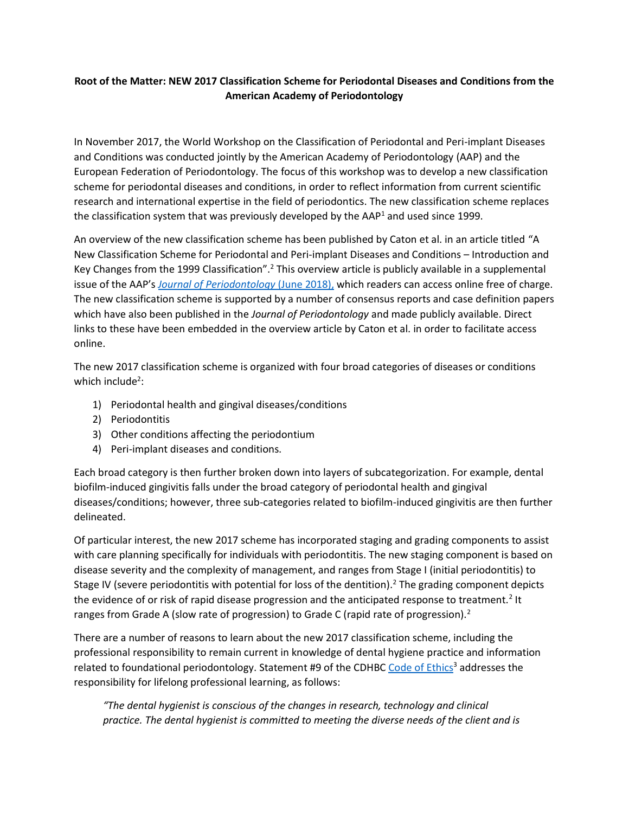## **Root of the Matter: NEW 2017 Classification Scheme for Periodontal Diseases and Conditions from the American Academy of Periodontology**

In November 2017, the World Workshop on the Classification of Periodontal and Peri-implant Diseases and Conditions was conducted jointly by the American Academy of Periodontology (AAP) and the European Federation of Periodontology. The focus of this workshop was to develop a new classification scheme for periodontal diseases and conditions, in order to reflect information from current scientific research and international expertise in the field of periodontics. The new classification scheme replaces the classification system that was previously developed by the  $AAP<sup>1</sup>$  and used since 1999.

An overview of the new classification scheme has been published by Caton et al. in an article titled "A New Classification Scheme for Periodontal and Peri-implant Diseases and Conditions – Introduction and Key Changes from the 1999 Classification".<sup>2</sup> This overview article is publicly available in a supplemental issue of the AAP's *[Journal of Periodontology](https://onlinelibrary.wiley.com/doi/epdf/10.1002/JPER.18-0157)* (June 2018), which readers can access online free of charge. The new classification scheme is supported by a number of consensus reports and case definition papers which have also been published in the *Journal of Periodontology* and made publicly available. Direct links to these have been embedded in the overview article by Caton et al. in order to facilitate access online.

The new 2017 classification scheme is organized with four broad categories of diseases or conditions which include<sup>2</sup>:

- 1) Periodontal health and gingival diseases/conditions
- 2) Periodontitis
- 3) Other conditions affecting the periodontium
- 4) Peri-implant diseases and conditions.

Each broad category is then further broken down into layers of subcategorization. For example, dental biofilm-induced gingivitis falls under the broad category of periodontal health and gingival diseases/conditions; however, three sub-categories related to biofilm-induced gingivitis are then further delineated.

Of particular interest, the new 2017 scheme has incorporated staging and grading components to assist with care planning specifically for individuals with periodontitis. The new staging component is based on disease severity and the complexity of management, and ranges from Stage I (initial periodontitis) to Stage IV (severe periodontitis with potential for loss of the dentition).<sup>2</sup> The grading component depicts the evidence of or risk of rapid disease progression and the anticipated response to treatment.<sup>2</sup> It ranges from Grade A (slow rate of progression) to Grade C (rapid rate of progression).<sup>2</sup>

There are a number of reasons to learn about the new 2017 classification scheme, including the professional responsibility to remain current in knowledge of dental hygiene practice and information related to foundational periodontology. Statement #9 of the CDHBC [Code of Ethics](http://www.cdhbc.com/Practice-Resources/Code-of-Ethics.aspx)<sup>3</sup> addresses the responsibility for lifelong professional learning, as follows:

*"The dental hygienist is conscious of the changes in research, technology and clinical practice. The dental hygienist is committed to meeting the diverse needs of the client and is*